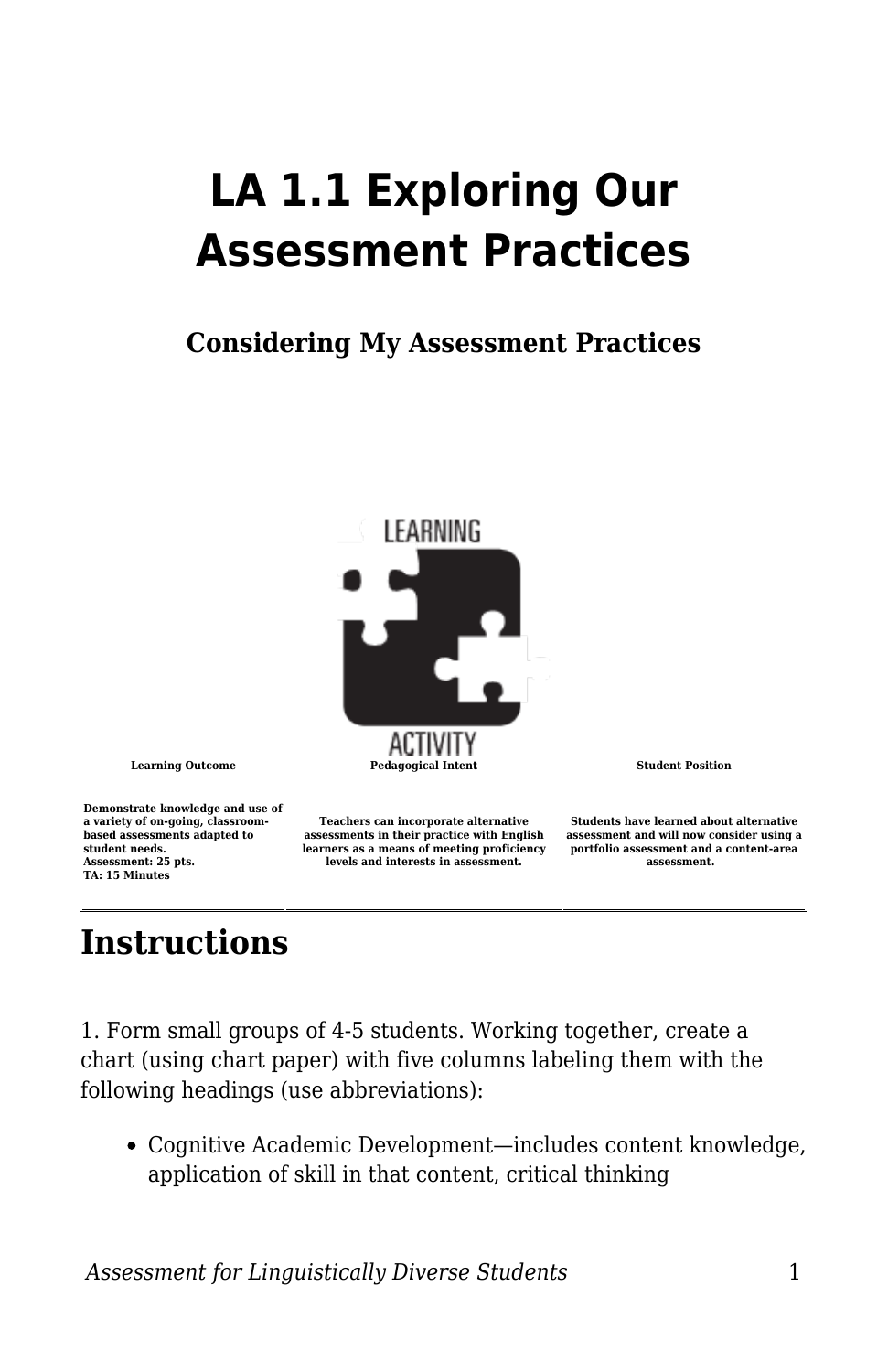## **LA 1.1 Exploring Our Assessment Practices**

## **Considering My Assessment Practices**



**Demonstrate knowledge and use of a variety of on-going, classroombased assessments adapted to student needs. Assessment: 25 pts. TA: 15 Minutes**

**Teachers can incorporate alternative assessments in their practice with English learners as a means of meeting proficiency levels and interests in assessment.**

**Students have learned about alternative assessment and will now consider using a portfolio assessment and a content-area assessment.** 

## **Instructions**

1. Form small groups of 4-5 students. Working together, create a chart (using chart paper) with five columns labeling them with the following headings (use abbreviations):

Cognitive Academic Development—includes content knowledge, application of skill in that content, critical thinking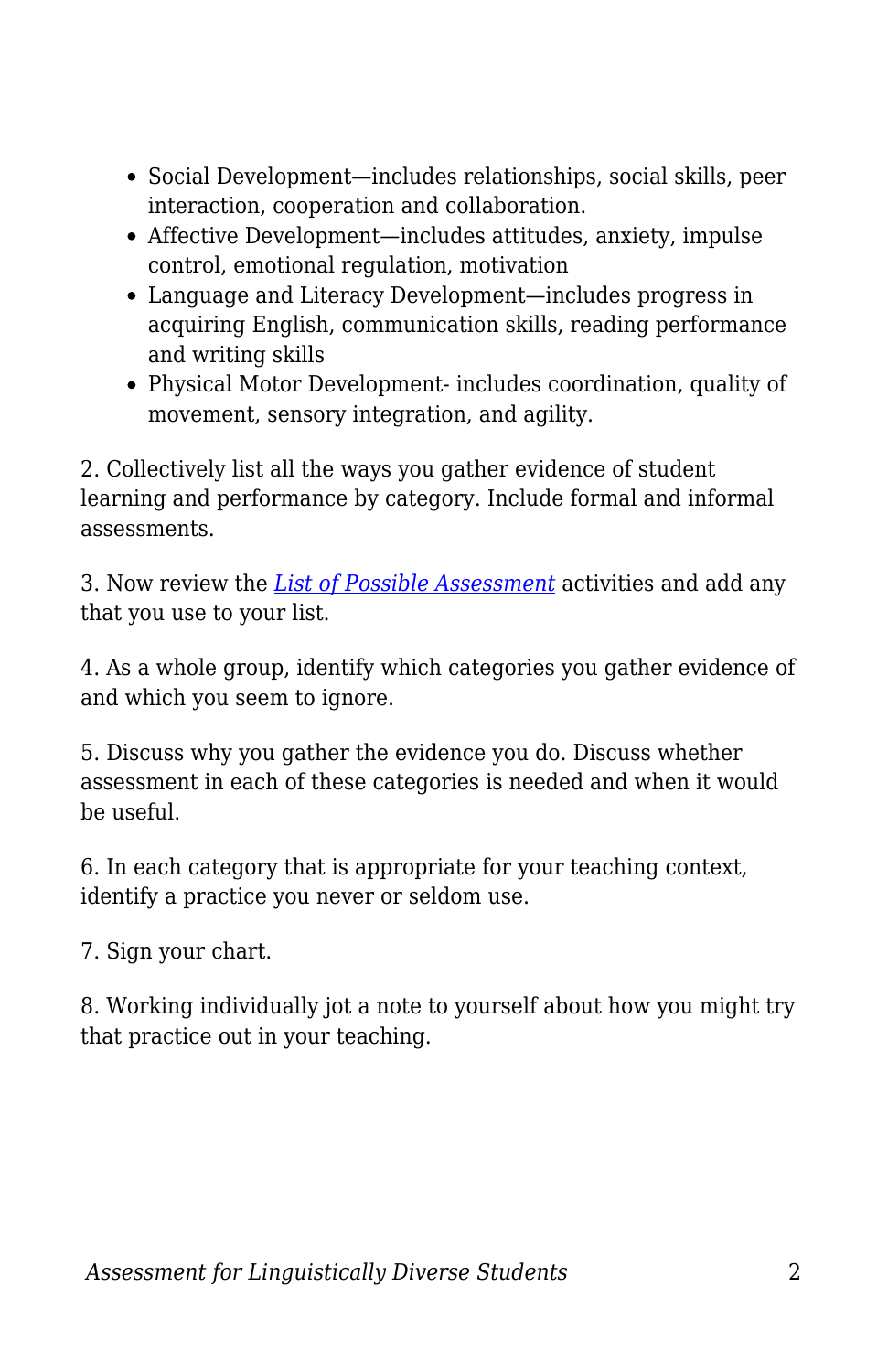- Social Development—includes relationships, social skills, peer interaction, cooperation and collaboration.
- Affective Development—includes attitudes, anxiety, impulse control, emotional regulation, motivation
- Language and Literacy Development—includes progress in acquiring English, communication skills, reading performance and writing skills
- Physical Motor Development- includes coordination, quality of movement, sensory integration, and agility.

2. Collectively list all the ways you gather evidence of student learning and performance by category. Include formal and informal assessments.

3. Now review the *[List of Possible Assessment](https://byu.box.com/s/9ktdo7wdhicef766xwlw02hbeb5ykbge)* activities and add any that you use to your list.

4. As a whole group, identify which categories you gather evidence of and which you seem to ignore.

5. Discuss why you gather the evidence you do. Discuss whether assessment in each of these categories is needed and when it would be useful.

6. In each category that is appropriate for your teaching context, identify a practice you never or seldom use.

7. Sign your chart.

8. Working individually jot a note to yourself about how you might try that practice out in your teaching.